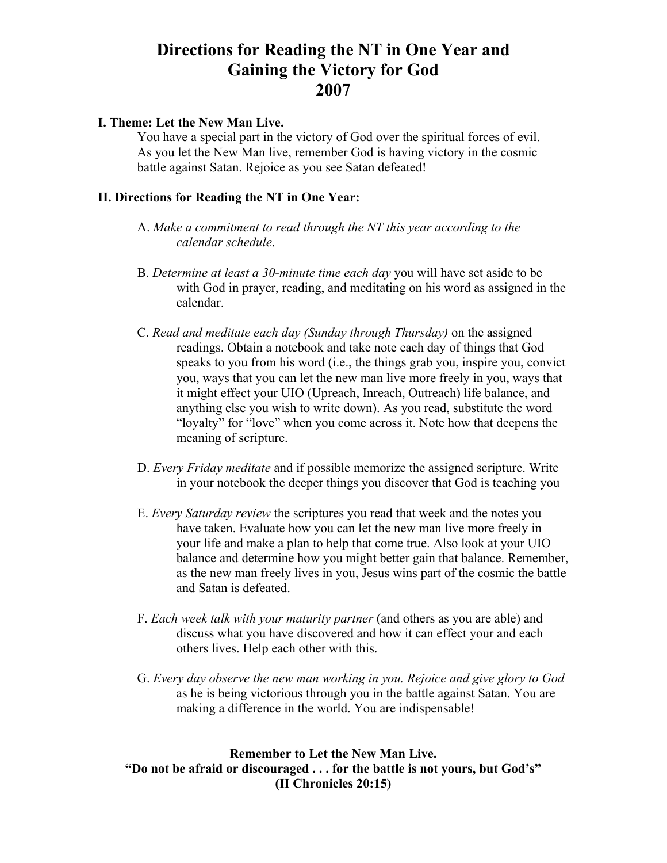## **Directions for Reading the NT in One Year and Gaining the Victory for God 2007**

## **I. Theme: Let the New Man Live.**

You have a special part in the victory of God over the spiritual forces of evil. As you let the New Man live, remember God is having victory in the cosmic battle against Satan. Rejoice as you see Satan defeated!

## **II. Directions for Reading the NT in One Year:**

- A. *Make a commitment to read through the NT this year according to the calendar schedule*.
- B. *Determine at least a 30-minute time each day* you will have set aside to be with God in prayer, reading, and meditating on his word as assigned in the calendar.
- C. *Read and meditate each day (Sunday through Thursday)* on the assigned readings. Obtain a notebook and take note each day of things that God speaks to you from his word (i.e., the things grab you, inspire you, convict you, ways that you can let the new man live more freely in you, ways that it might effect your UIO (Upreach, Inreach, Outreach) life balance, and anything else you wish to write down). As you read, substitute the word "loyalty" for "love" when you come across it. Note how that deepens the meaning of scripture.
- D. *Every Friday meditate* and if possible memorize the assigned scripture. Write in your notebook the deeper things you discover that God is teaching you
- E. *Every Saturday review* the scriptures you read that week and the notes you have taken. Evaluate how you can let the new man live more freely in your life and make a plan to help that come true. Also look at your UIO balance and determine how you might better gain that balance. Remember, as the new man freely lives in you, Jesus wins part of the cosmic the battle and Satan is defeated.
- F. *Each week talk with your maturity partner* (and others as you are able) and discuss what you have discovered and how it can effect your and each others lives. Help each other with this.
- G. *Every day observe the new man working in you. Rejoice and give glory to God*  as he is being victorious through you in the battle against Satan. You are making a difference in the world. You are indispensable!

## **Remember to Let the New Man Live. "Do not be afraid or discouraged . . . for the battle is not yours, but God's" (II Chronicles 20:15)**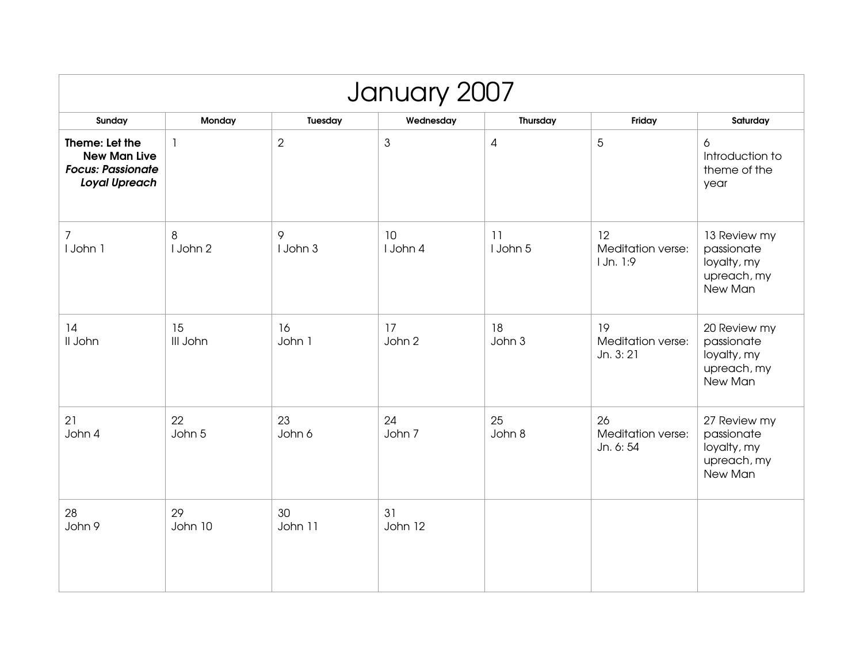| January 2007                                                                              |                |                |                |                |                                      |                                                                     |  |  |  |
|-------------------------------------------------------------------------------------------|----------------|----------------|----------------|----------------|--------------------------------------|---------------------------------------------------------------------|--|--|--|
| Sunday                                                                                    | Monday         | Tuesday        | Wednesday      | Thursday       | Friday                               | Saturday                                                            |  |  |  |
| Theme: Let the<br><b>New Man Live</b><br><b>Focus: Passionate</b><br><b>Loyal Upreach</b> | $\mathbf{1}$   | $\overline{2}$ | $\mathfrak{S}$ | $\overline{4}$ | $\overline{5}$                       | 6<br>Introduction to<br>theme of the<br>year                        |  |  |  |
| 7<br>I John 1                                                                             | 8<br>I John 2  | 9<br>I John 3  | 10<br>I John 4 | 11<br>I John 5 | 12<br>Meditation verse:<br>1 Jn. 1:9 | 13 Review my<br>passionate<br>loyalty, my<br>upreach, my<br>New Man |  |  |  |
| 14<br>II John                                                                             | 15<br>III John | 16<br>John 1   | 17<br>John 2   | 18<br>John 3   | 19<br>Meditation verse:<br>Jn. 3: 21 | 20 Review my<br>passionate<br>loyalty, my<br>upreach, my<br>New Man |  |  |  |
| 21<br>John 4                                                                              | 22<br>John 5   | 23<br>John 6   | 24<br>John 7   | 25<br>John 8   | 26<br>Meditation verse:<br>Jn. 6: 54 | 27 Review my<br>passionate<br>loyalty, my<br>upreach, my<br>New Man |  |  |  |
| 28<br>John 9                                                                              | 29<br>John 10  | 30<br>John 11  | 31<br>John 12  |                |                                      |                                                                     |  |  |  |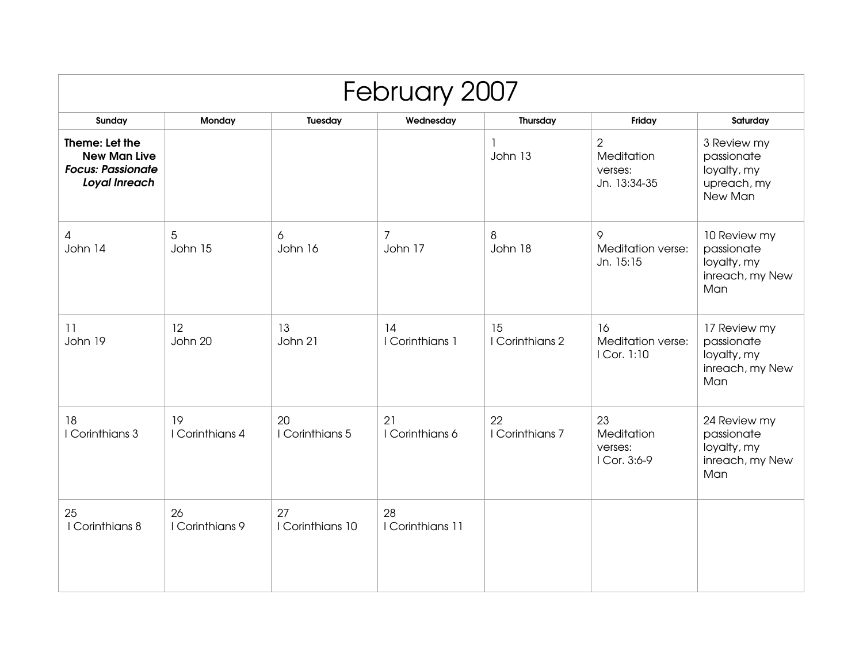| February 2007                                                                      |                       |                        |                           |                         |                                                                |                                                                     |  |  |
|------------------------------------------------------------------------------------|-----------------------|------------------------|---------------------------|-------------------------|----------------------------------------------------------------|---------------------------------------------------------------------|--|--|
| Sunday                                                                             | Monday                | Tuesday                | Wednesday                 | Thursday                | Friday                                                         | Saturday                                                            |  |  |
| Theme: Let the<br><b>New Man Live</b><br><b>Focus: Passionate</b><br>Loyal Inreach |                       |                        |                           | $\mathbf{I}$<br>John 13 | $\overline{2}$<br><b>Meditation</b><br>verses:<br>Jn. 13:34-35 | 3 Review my<br>passionate<br>loyalty, my<br>upreach, my<br>New Man  |  |  |
| 4<br>John 14                                                                       | 5<br>John 15          | 6<br>John 16           | $\overline{7}$<br>John 17 | 8<br>John 18            | 9<br>Meditation verse:<br>Jn. 15:15                            | 10 Review my<br>passionate<br>loyalty, my<br>inreach, my New<br>Man |  |  |
| 11<br>John 19                                                                      | 12<br>John 20         | 13<br>John 21          | 14<br>I Corinthians 1     | 15<br>I Corinthians 2   | 16<br>Meditation verse:<br>I Cor. 1:10                         | 17 Review my<br>passionate<br>loyalty, my<br>inreach, my New<br>Man |  |  |
| 18<br>I Corinthians 3                                                              | 19<br>I Corinthians 4 | 20<br>I Corinthians 5  | 21<br>I Corinthians 6     | 22<br>I Corinthians 7   | 23<br>Meditation<br>verses:<br>I Cor. 3:6-9                    | 24 Review my<br>passionate<br>loyalty, my<br>inreach, my New<br>Man |  |  |
| 25<br>I Corinthians 8                                                              | 26<br>I Corinthians 9 | 27<br>I Corinthians 10 | 28<br>I Corinthians 11    |                         |                                                                |                                                                     |  |  |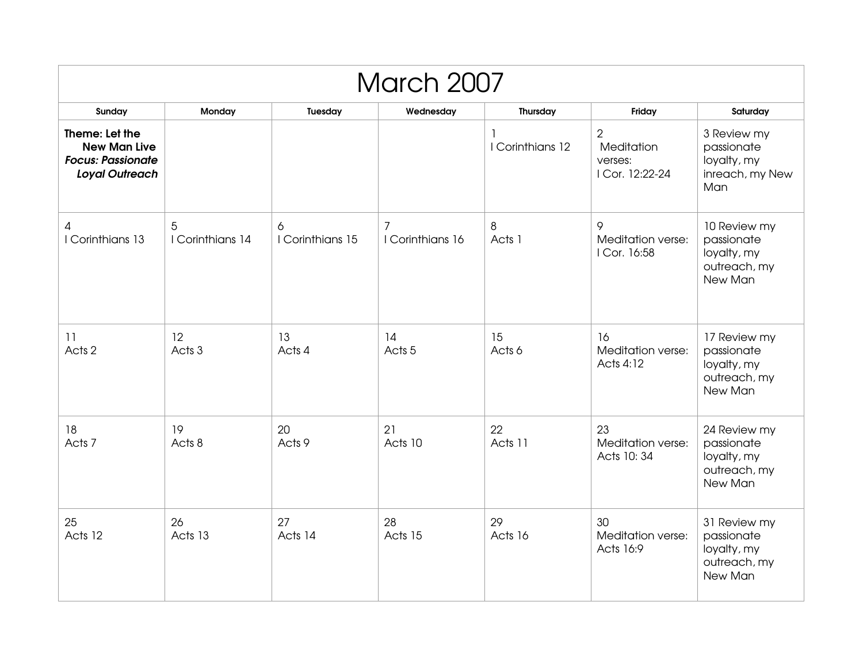| <b>March 2007</b>                                                                          |                       |                       |                                    |                       |                                                            |                                                                      |  |  |
|--------------------------------------------------------------------------------------------|-----------------------|-----------------------|------------------------------------|-----------------------|------------------------------------------------------------|----------------------------------------------------------------------|--|--|
| Sunday                                                                                     | Monday                | Tuesday               | Wednesday                          | Thursday              | Friday                                                     | Saturday                                                             |  |  |
| Theme: Let the<br><b>New Man Live</b><br><b>Focus: Passionate</b><br><b>Loyal Outreach</b> |                       |                       |                                    | 1<br>I Corinthians 12 | $\overline{2}$<br>Meditation<br>verses:<br>I Cor. 12:22-24 | 3 Review my<br>passionate<br>loyalty, my<br>inreach, my New<br>Man   |  |  |
| 4<br>I Corinthians 13                                                                      | 5<br>I Corinthians 14 | 6<br>I Corinthians 15 | $\overline{7}$<br>I Corinthians 16 | 8<br>Acts 1           | 9<br>Meditation verse:<br>I Cor. 16:58                     | 10 Review my<br>passionate<br>loyalty, my<br>outreach, my<br>New Man |  |  |
| 11<br>Acts <sub>2</sub>                                                                    | 12<br>Acts 3          | 13<br>Acts 4          | 14<br>Acts <sub>5</sub>            | 15<br>Acts 6          | 16<br>Meditation verse:<br>Acts 4:12                       | 17 Review my<br>passionate<br>loyalty, my<br>outreach, my<br>New Man |  |  |
| 18<br>Acts 7                                                                               | 19<br>Acts 8          | 20<br>Acts 9          | 21<br>Acts 10                      | 22<br>Acts 11         | 23<br>Meditation verse:<br>Acts 10:34                      | 24 Review my<br>passionate<br>loyalty, my<br>outreach, my<br>New Man |  |  |
| 25<br>Acts 12                                                                              | 26<br>Acts 13         | 27<br>Acts 14         | 28<br>Acts 15                      | 29<br>Acts 16         | 30<br>Meditation verse:<br>Acts 16:9                       | 31 Review my<br>passionate<br>loyalty, my<br>outreach, my<br>New Man |  |  |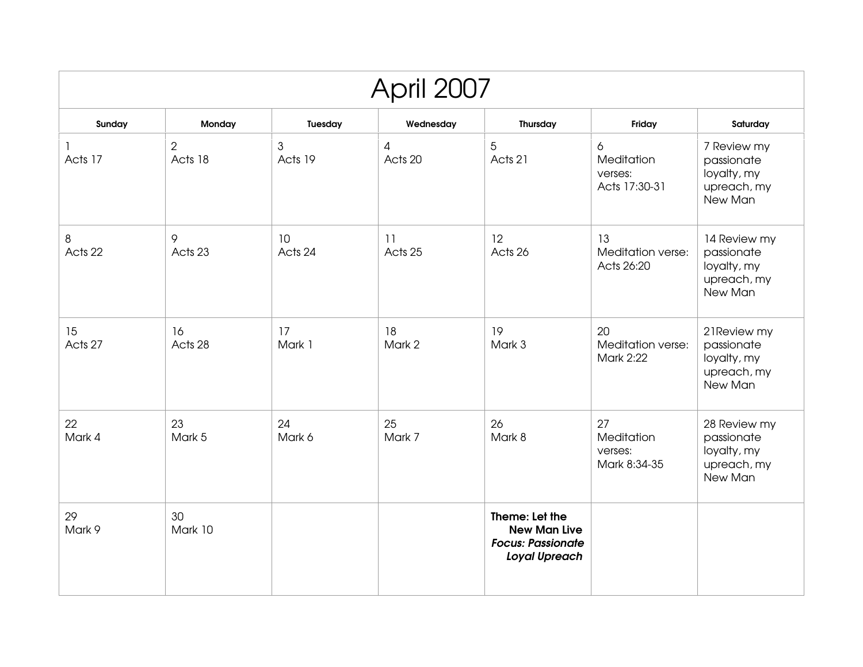| April 2007    |                           |                           |               |                                                                                           |                                             |                                                                     |  |  |  |
|---------------|---------------------------|---------------------------|---------------|-------------------------------------------------------------------------------------------|---------------------------------------------|---------------------------------------------------------------------|--|--|--|
| Sunday        | Monday                    | Tuesday                   | Wednesday     | Thursday                                                                                  | Friday                                      | Saturday                                                            |  |  |  |
| Acts 17       | $\overline{2}$<br>Acts 18 | $\mathfrak{S}$<br>Acts 19 | 4<br>Acts 20  | 5<br>Acts 21                                                                              | 6<br>Meditation<br>verses:<br>Acts 17:30-31 | 7 Review my<br>passionate<br>loyalty, my<br>upreach, my<br>New Man  |  |  |  |
| 8<br>Acts 22  | 9<br>Acts 23              | 10<br>Acts 24             | 11<br>Acts 25 | 12<br>Acts 26                                                                             | 13<br>Meditation verse:<br>Acts 26:20       | 14 Review my<br>passionate<br>loyalty, my<br>upreach, my<br>New Man |  |  |  |
| 15<br>Acts 27 | 16<br>Acts 28             | 17<br>Mark 1              | 18<br>Mark 2  | 19<br>Mark 3                                                                              | 20<br>Meditation verse:<br><b>Mark 2:22</b> | 21 Review my<br>passionate<br>loyalty, my<br>upreach, my<br>New Man |  |  |  |
| 22<br>Mark 4  | 23<br>Mark 5              | 24<br>Mark 6              | 25<br>Mark 7  | 26<br>Mark 8                                                                              | 27<br>Meditation<br>verses:<br>Mark 8:34-35 | 28 Review my<br>passionate<br>loyalty, my<br>upreach, my<br>New Man |  |  |  |
| 29<br>Mark 9  | 30<br>Mark 10             |                           |               | Theme: Let the<br><b>New Man Live</b><br><b>Focus: Passionate</b><br><b>Loyal Upreach</b> |                                             |                                                                     |  |  |  |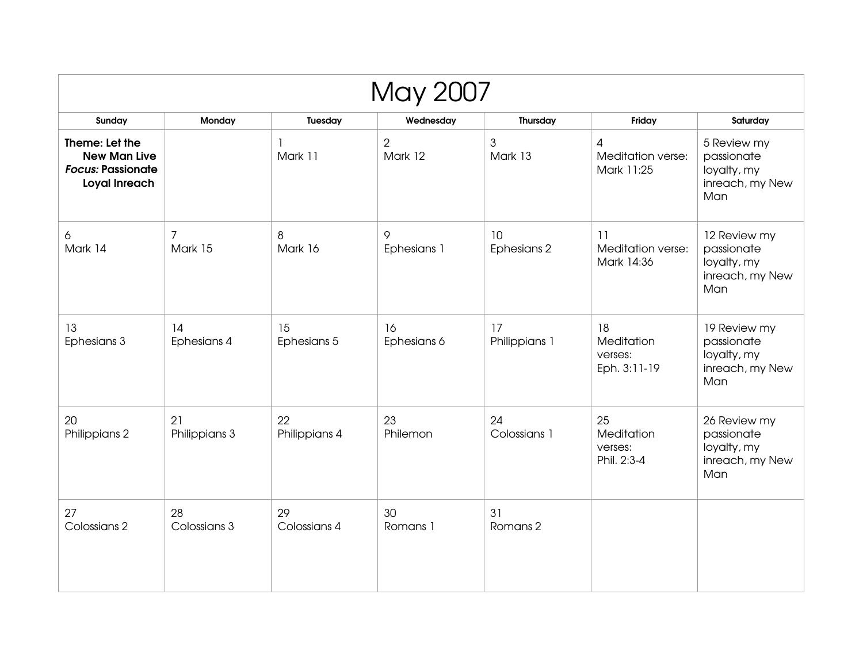| <b>May 2007</b>                                                                    |                           |                         |                           |                     |                                             |                                                                     |  |  |  |
|------------------------------------------------------------------------------------|---------------------------|-------------------------|---------------------------|---------------------|---------------------------------------------|---------------------------------------------------------------------|--|--|--|
| Sunday                                                                             | Monday                    | Tuesday                 | Wednesday                 | Thursday            | Friday                                      | Saturday                                                            |  |  |  |
| Theme: Let the<br><b>New Man Live</b><br><b>Focus: Passionate</b><br>Loyal Inreach |                           | $\mathbf{1}$<br>Mark 11 | $\overline{2}$<br>Mark 12 | 3<br>Mark 13        | 4<br>Meditation verse:<br>Mark 11:25        | 5 Review my<br>passionate<br>loyalty, my<br>inreach, my New<br>Man  |  |  |  |
| 6<br>Mark 14                                                                       | $\overline{7}$<br>Mark 15 | 8<br>Mark 16            | 9<br>Ephesians 1          | 10<br>Ephesians 2   | 11<br>Meditation verse:<br>Mark 14:36       | 12 Review my<br>passionate<br>loyalty, my<br>inreach, my New<br>Man |  |  |  |
| 13<br>Ephesians 3                                                                  | 14<br>Ephesians 4         | 15<br>Ephesians 5       | 16<br>Ephesians 6         | 17<br>Philippians 1 | 18<br>Meditation<br>verses:<br>Eph. 3:11-19 | 19 Review my<br>passionate<br>loyalty, my<br>inreach, my New<br>Man |  |  |  |
| 20<br>Philippians 2                                                                | 21<br>Philippians 3       | 22<br>Philippians 4     | 23<br>Philemon            | 24<br>Colossians 1  | 25<br>Meditation<br>verses:<br>Phil. 2:3-4  | 26 Review my<br>passionate<br>loyalty, my<br>inreach, my New<br>Man |  |  |  |
| 27<br>Colossians 2                                                                 | 28<br>Colossians 3        | 29<br>Colossians 4      | 30<br>Romans 1            | 31<br>Romans 2      |                                             |                                                                     |  |  |  |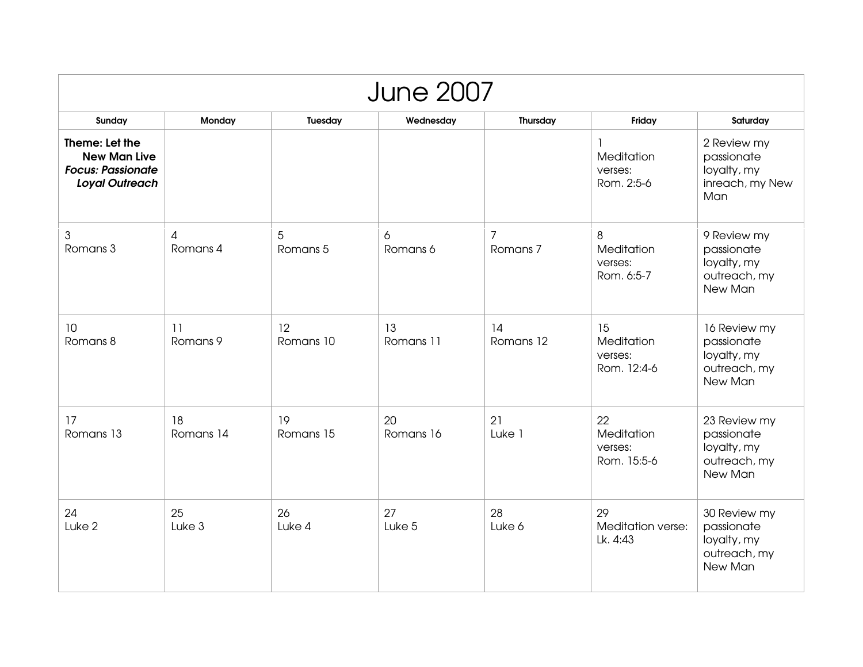| <b>June 2007</b>                                                                           |                 |                 |                 |                 |                                            |                                                                      |  |  |  |
|--------------------------------------------------------------------------------------------|-----------------|-----------------|-----------------|-----------------|--------------------------------------------|----------------------------------------------------------------------|--|--|--|
| Sunday                                                                                     | Monday          | Tuesday         | Wednesday       | Thursday        | Friday                                     | Saturday                                                             |  |  |  |
| Theme: Let the<br><b>New Man Live</b><br><b>Focus: Passionate</b><br><b>Loyal Outreach</b> |                 |                 |                 |                 | 1<br>Meditation<br>verses:<br>Rom. 2:5-6   | 2 Review my<br>passionate<br>loyalty, my<br>inreach, my New<br>Man   |  |  |  |
| 3<br>Romans 3                                                                              | 4<br>Romans 4   | 5<br>Romans 5   | 6<br>Romans 6   | 7<br>Romans 7   | 8<br>Meditation<br>verses:<br>Rom. 6:5-7   | 9 Review my<br>passionate<br>loyalty, my<br>outreach, my<br>New Man  |  |  |  |
| 10<br>Romans 8                                                                             | 11<br>Romans 9  | 12<br>Romans 10 | 13<br>Romans 11 | 14<br>Romans 12 | 15<br>Meditation<br>verses:<br>Rom. 12:4-6 | 16 Review my<br>passionate<br>loyalty, my<br>outreach, my<br>New Man |  |  |  |
| 17<br>Romans 13                                                                            | 18<br>Romans 14 | 19<br>Romans 15 | 20<br>Romans 16 | 21<br>Luke 1    | 22<br>Meditation<br>verses:<br>Rom. 15:5-6 | 23 Review my<br>passionate<br>loyalty, my<br>outreach, my<br>New Man |  |  |  |
| 24<br>Luke <sub>2</sub>                                                                    | 25<br>Luke 3    | 26<br>Luke 4    | 27<br>Luke 5    | 28<br>Luke 6    | 29<br>Meditation verse:<br>Lk. 4:43        | 30 Review my<br>passionate<br>loyalty, my<br>outreach, my<br>New Man |  |  |  |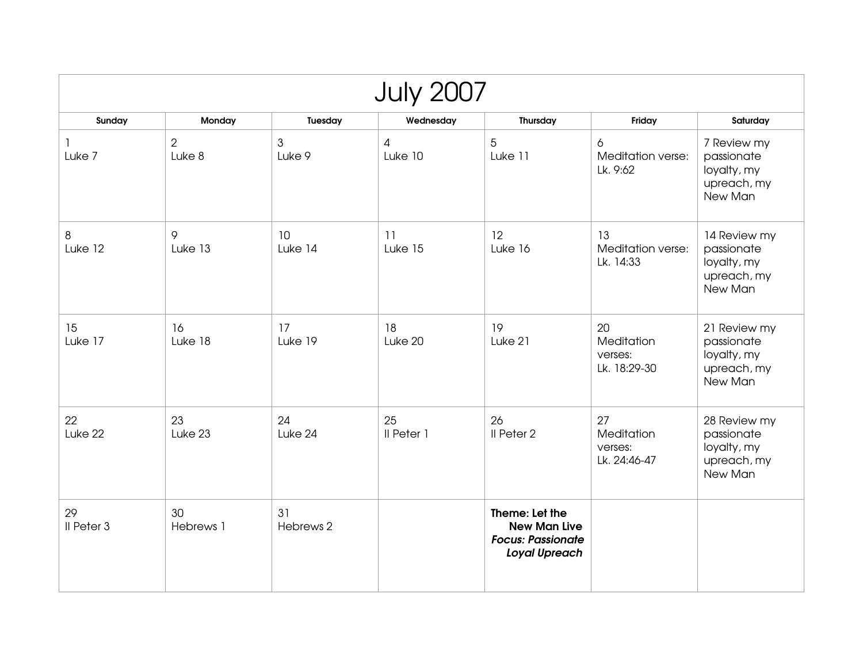| <b>July 2007</b> |                          |                          |                           |                                                                                           |                                             |                                                                     |  |  |  |
|------------------|--------------------------|--------------------------|---------------------------|-------------------------------------------------------------------------------------------|---------------------------------------------|---------------------------------------------------------------------|--|--|--|
| Sunday           | Monday                   | Tuesday                  | Wednesday                 | Thursday                                                                                  | Friday                                      | Saturday                                                            |  |  |  |
| Luke 7           | $\overline{2}$<br>Luke 8 | $\mathfrak{S}$<br>Luke 9 | $\overline{4}$<br>Luke 10 | 5<br>Luke 11                                                                              | 6<br>Meditation verse:<br>Lk. 9:62          | 7 Review my<br>passionate<br>loyalty, my<br>upreach, my<br>New Man  |  |  |  |
| 8<br>Luke 12     | 9<br>Luke 13             | 10<br>Luke 14            | 11<br>Luke 15             | 12<br>Luke 16                                                                             | 13<br>Meditation verse:<br>Lk. 14:33        | 14 Review my<br>passionate<br>loyalty, my<br>upreach, my<br>New Man |  |  |  |
| 15<br>Luke 17    | 16<br>Luke 18            | 17<br>Luke 19            | 18<br>Luke 20             | 19<br>Luke 21                                                                             | 20<br>Meditation<br>verses:<br>Lk. 18:29-30 | 21 Review my<br>passionate<br>loyalty, my<br>upreach, my<br>New Man |  |  |  |
| 22<br>Luke 22    | 23<br>Luke 23            | 24<br>Luke 24            | 25<br>Il Peter 1          | 26<br>Il Peter 2                                                                          | 27<br>Meditation<br>verses:<br>Lk. 24:46-47 | 28 Review my<br>passionate<br>loyalty, my<br>upreach, my<br>New Man |  |  |  |
| 29<br>Il Peter 3 | 30<br>Hebrews 1          | 31<br>Hebrews 2          |                           | Theme: Let the<br><b>New Man Live</b><br><b>Focus: Passionate</b><br><b>Loyal Upreach</b> |                                             |                                                                     |  |  |  |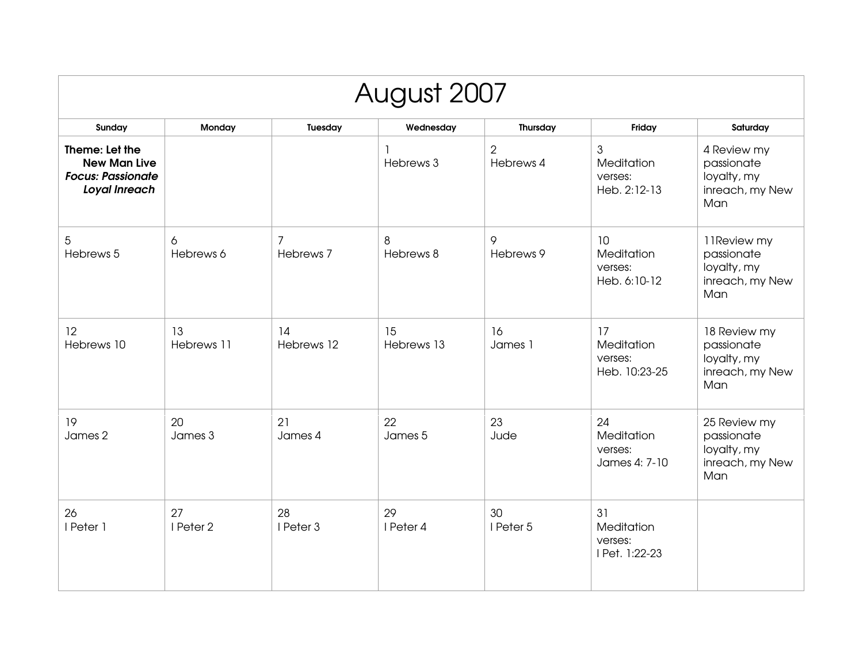| August 2007                                                                        |                  |                             |                  |                             |                                                         |                                                                     |  |  |
|------------------------------------------------------------------------------------|------------------|-----------------------------|------------------|-----------------------------|---------------------------------------------------------|---------------------------------------------------------------------|--|--|
| Sunday                                                                             | Monday           | Tuesday                     | Wednesday        | Thursday                    | Friday                                                  | Saturday                                                            |  |  |
| Theme: Let the<br><b>New Man Live</b><br><b>Focus: Passionate</b><br>Loyal Inreach |                  |                             | Hebrews 3        | $\overline{2}$<br>Hebrews 4 | $\mathfrak{S}$<br>Meditation<br>verses:<br>Heb. 2:12-13 | 4 Review my<br>passionate<br>loyalty, my<br>inreach, my New<br>Man  |  |  |
| 5<br>Hebrews 5                                                                     | 6<br>Hebrews 6   | $\overline{7}$<br>Hebrews 7 | 8<br>Hebrews 8   | 9<br>Hebrews 9              | 10<br>Meditation<br>verses:<br>Heb. 6:10-12             | 11Review my<br>passionate<br>loyalty, my<br>inreach, my New<br>Man  |  |  |
| 12<br>Hebrews 10                                                                   | 13<br>Hebrews 11 | 14<br>Hebrews 12            | 15<br>Hebrews 13 | 16<br>James 1               | 17<br>Meditation<br>verses:<br>Heb. 10:23-25            | 18 Review my<br>passionate<br>loyalty, my<br>inreach, my New<br>Man |  |  |
| 19<br>James 2                                                                      | 20<br>James 3    | 21<br>James 4               | 22<br>James 5    | 23<br>Jude                  | 24<br>Meditation<br>verses:<br>James 4: 7-10            | 25 Review my<br>passionate<br>loyalty, my<br>inreach, my New<br>Man |  |  |
| 26<br>I Peter 1                                                                    | 27<br>I Peter 2  | 28<br>I Peter 3             | 29<br>I Peter 4  | 30<br>I Peter 5             | 31<br>Meditation<br>verses:<br>I Pet. 1:22-23           |                                                                     |  |  |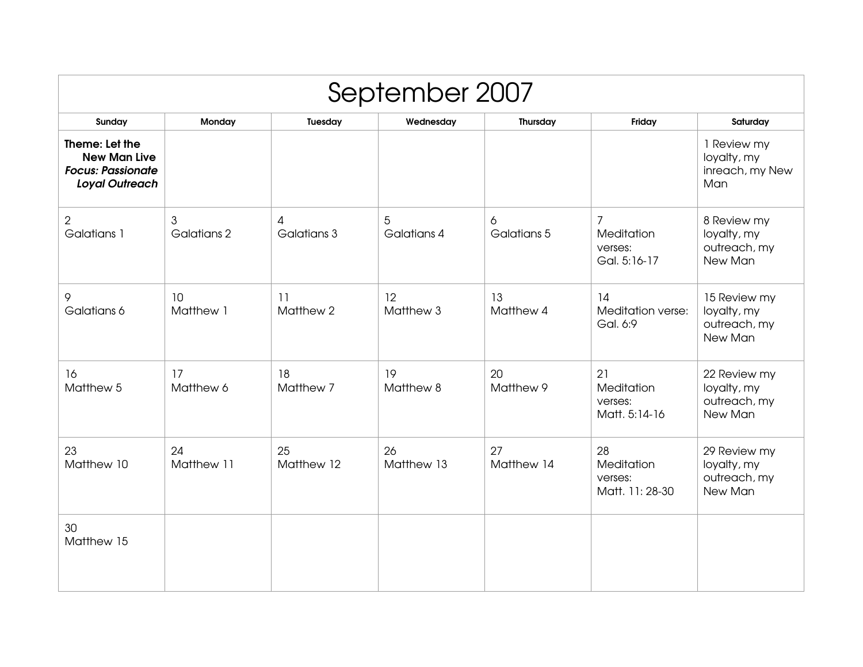| September 2007                                                                             |                  |                  |                  |                  |                                                |                                                        |  |  |
|--------------------------------------------------------------------------------------------|------------------|------------------|------------------|------------------|------------------------------------------------|--------------------------------------------------------|--|--|
| Sunday                                                                                     | Monday           | Tuesday          | Wednesday        | Thursday         | Friday                                         | Saturday                                               |  |  |
| Theme: Let the<br><b>New Man Live</b><br><b>Focus: Passionate</b><br><b>Loyal Outreach</b> |                  |                  |                  |                  |                                                | 1 Review my<br>loyalty, my<br>inreach, my New<br>Man   |  |  |
| $\overline{2}$<br>Galatians 1                                                              | 3<br>Galatians 2 | 4<br>Galatians 3 | 5<br>Galatians 4 | 6<br>Galatians 5 | 7<br>Meditation<br>verses:<br>Gal. 5:16-17     | 8 Review my<br>loyalty, my<br>outreach, my<br>New Man  |  |  |
| 9<br>Galatians 6                                                                           | 10<br>Matthew 1  | 11<br>Matthew 2  | 12<br>Matthew 3  | 13<br>Matthew 4  | 14<br>Meditation verse:<br>Gal. 6:9            | 15 Review my<br>loyalty, my<br>outreach, my<br>New Man |  |  |
| 16<br>Matthew 5                                                                            | 17<br>Matthew 6  | 18<br>Matthew 7  | 19<br>Matthew 8  | 20<br>Matthew 9  | 21<br>Meditation<br>verses:<br>Matt. 5:14-16   | 22 Review my<br>loyalty, my<br>outreach, my<br>New Man |  |  |
| 23<br>Matthew 10                                                                           | 24<br>Matthew 11 | 25<br>Matthew 12 | 26<br>Matthew 13 | 27<br>Matthew 14 | 28<br>Meditation<br>verses:<br>Matt. 11: 28-30 | 29 Review my<br>loyalty, my<br>outreach, my<br>New Man |  |  |
| 30<br>Matthew 15                                                                           |                  |                  |                  |                  |                                                |                                                        |  |  |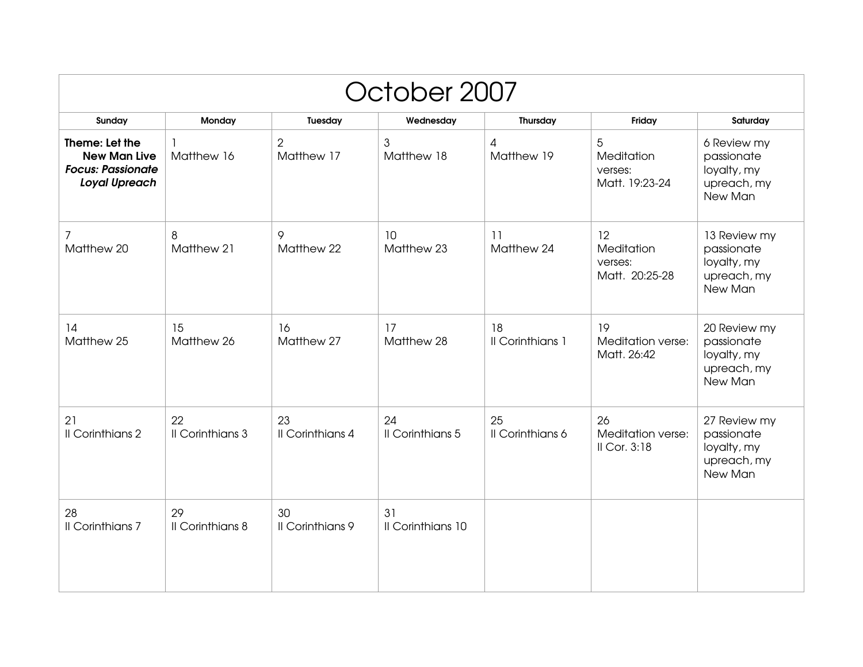| October 2007                                                                              |                        |                               |                         |                              |                                               |                                                                     |  |  |  |
|-------------------------------------------------------------------------------------------|------------------------|-------------------------------|-------------------------|------------------------------|-----------------------------------------------|---------------------------------------------------------------------|--|--|--|
| Sunday                                                                                    | Monday                 | Tuesday                       | Wednesday               | Thursday                     | Friday                                        | Saturday                                                            |  |  |  |
| Theme: Let the<br><b>New Man Live</b><br><b>Focus: Passionate</b><br><b>Loyal Upreach</b> | 1<br>Matthew 16        | $\overline{2}$<br>Matthew 17  | 3<br>Matthew 18         | $\overline{4}$<br>Matthew 19 | 5<br>Meditation<br>verses:<br>Matt. 19:23-24  | 6 Review my<br>passionate<br>loyalty, my<br>upreach, my<br>New Man  |  |  |  |
| 7<br>Matthew 20                                                                           | 8<br>Matthew 21        | 9<br>Matthew 22               | 10<br>Matthew 23        | 11<br>Matthew 24             | 12<br>Meditation<br>verses:<br>Matt. 20:25-28 | 13 Review my<br>passionate<br>loyalty, my<br>upreach, my<br>New Man |  |  |  |
| 14<br>Matthew 25                                                                          | 15<br>Matthew 26       | 16<br>Matthew 27              | 17<br>Matthew 28        | 18<br>Il Corinthians 1       | 19<br>Meditation verse:<br>Matt. 26:42        | 20 Review my<br>passionate<br>loyalty, my<br>upreach, my<br>New Man |  |  |  |
| 21<br>Il Corinthians 2                                                                    | 22<br>Il Corinthians 3 | 23<br><b>Il Corinthians 4</b> | 24<br>Il Corinthians 5  | 25<br>Il Corinthians 6       | 26<br>Meditation verse:<br>II Cor. 3:18       | 27 Review my<br>passionate<br>loyalty, my<br>upreach, my<br>New Man |  |  |  |
| 28<br>Il Corinthians 7                                                                    | 29<br>Il Corinthians 8 | 30<br>Il Corinthians 9        | 31<br>Il Corinthians 10 |                              |                                               |                                                                     |  |  |  |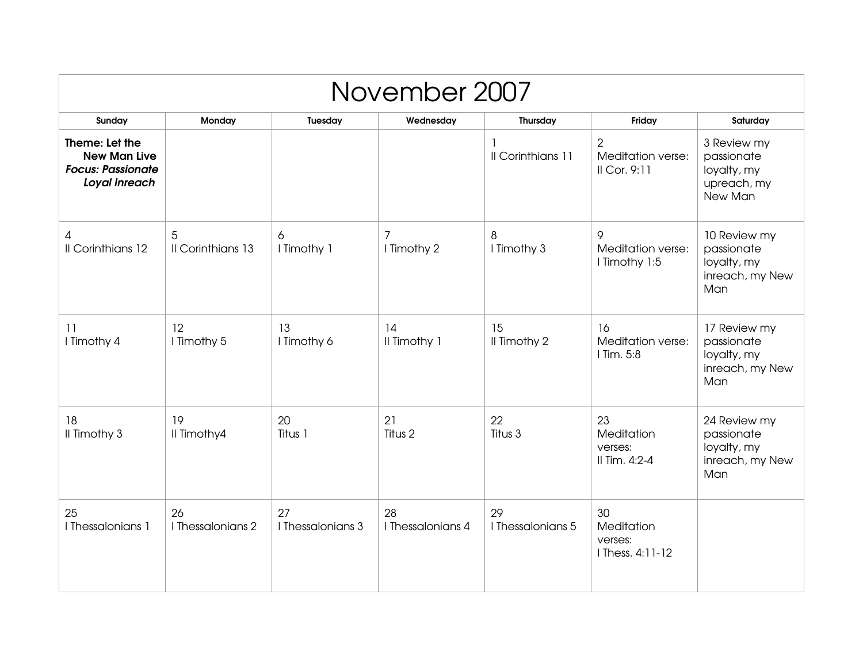| November 2007                                                                      |                         |                         |                          |                         |                                                     |                                                                     |  |  |
|------------------------------------------------------------------------------------|-------------------------|-------------------------|--------------------------|-------------------------|-----------------------------------------------------|---------------------------------------------------------------------|--|--|
| Sunday                                                                             | Monday                  | Tuesday                 | Wednesday                | Thursday                | Friday                                              | Saturday                                                            |  |  |
| Theme: Let the<br><b>New Man Live</b><br><b>Focus: Passionate</b><br>Loyal Inreach |                         |                         |                          | -1<br>Il Corinthians 11 | $\overline{2}$<br>Meditation verse:<br>II Cor. 9:11 | 3 Review my<br>passionate<br>loyalty, my<br>upreach, my<br>New Man  |  |  |
| 4<br>Il Corinthians 12                                                             | 5<br>Il Corinthians 13  | 6<br>I Timothy 1        | 7<br>I Timothy 2         | 8<br>I Timothy 3        | 9<br>Meditation verse:<br>I Timothy 1:5             | 10 Review my<br>passionate<br>loyalty, my<br>inreach, my New<br>Man |  |  |
| 11<br>I Timothy 4                                                                  | 12<br>I Timothy 5       | 13<br>I Timothy 6       | 14<br>Il Timothy 1       | 15<br>Il Timothy 2      | 16<br>Meditation verse:<br>I Tim. 5:8               | 17 Review my<br>passionate<br>loyalty, my<br>inreach, my New<br>Man |  |  |
| 18<br>Il Timothy 3                                                                 | 19<br>Il Timothy4       | 20<br>Titus 1           | 21<br>Titus <sub>2</sub> | 22<br>Titus 3           | 23<br>Meditation<br>verses:<br>Il Tim. 4:2-4        | 24 Review my<br>passionate<br>loyalty, my<br>inreach, my New<br>Man |  |  |
| 25<br>I Thessalonians 1                                                            | 26<br>I Thessalonians 2 | 27<br>I Thessalonians 3 | 28<br>I Thessalonians 4  | 29<br>I Thessalonians 5 | 30<br>Meditation<br>verses:<br>I Thess, 4:11-12     |                                                                     |  |  |